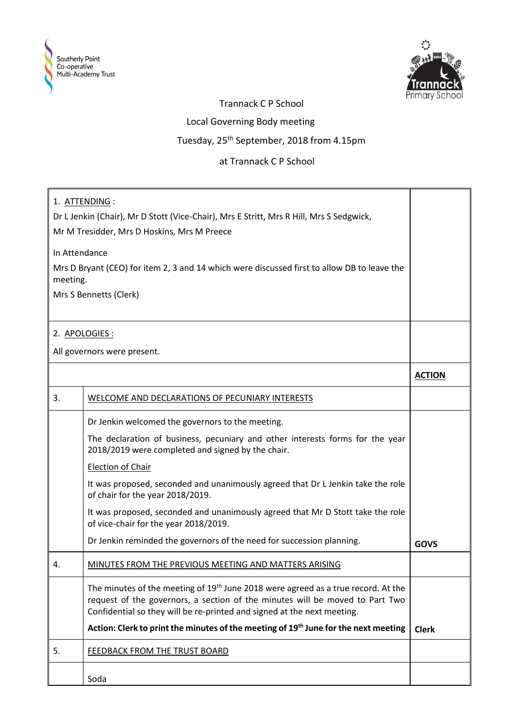



## Trannack C P School

Local Governing Body meeting

## Tuesday, 25th September, 2018 from 4.15pm

## at Trannack C P School

|                                                                                         | 1. ATTENDING :                                                                                                                                                                |               |
|-----------------------------------------------------------------------------------------|-------------------------------------------------------------------------------------------------------------------------------------------------------------------------------|---------------|
| Dr L Jenkin (Chair), Mr D Stott (Vice-Chair), Mrs E Stritt, Mrs R Hill, Mrs S Sedgwick, |                                                                                                                                                                               |               |
| Mr M Tresidder, Mrs D Hoskins, Mrs M Preece                                             |                                                                                                                                                                               |               |
| In Attendance                                                                           |                                                                                                                                                                               |               |
|                                                                                         | Mrs D Bryant (CEO) for item 2, 3 and 14 which were discussed first to allow DB to leave the                                                                                   |               |
| meeting.                                                                                |                                                                                                                                                                               |               |
| Mrs S Bennetts (Clerk)                                                                  |                                                                                                                                                                               |               |
|                                                                                         |                                                                                                                                                                               |               |
|                                                                                         | 2. APOLOGIES :                                                                                                                                                                |               |
| All governors were present.                                                             |                                                                                                                                                                               |               |
|                                                                                         |                                                                                                                                                                               | <b>ACTION</b> |
| 3.                                                                                      | WELCOME AND DECLARATIONS OF PECUNIARY INTERESTS                                                                                                                               |               |
|                                                                                         | Dr Jenkin welcomed the governors to the meeting.                                                                                                                              |               |
|                                                                                         | The declaration of business, pecuniary and other interests forms for the year<br>2018/2019 were completed and signed by the chair.                                            |               |
|                                                                                         | <b>Election of Chair</b>                                                                                                                                                      |               |
|                                                                                         | It was proposed, seconded and unanimously agreed that Dr L Jenkin take the role<br>of chair for the year 2018/2019.                                                           |               |
|                                                                                         | It was proposed, seconded and unanimously agreed that Mr D Stott take the role<br>of vice-chair for the year 2018/2019.                                                       |               |
|                                                                                         | Dr Jenkin reminded the governors of the need for succession planning.                                                                                                         | <b>GOVS</b>   |
| 4.                                                                                      | MINUTES FROM THE PREVIOUS MEETING AND MATTERS ARISING                                                                                                                         |               |
|                                                                                         | The minutes of the meeting of 19 <sup>th</sup> June 2018 were agreed as a true record. At the<br>request of the governors, a section of the minutes will be moved to Part Two |               |
|                                                                                         | Confidential so they will be re-printed and signed at the next meeting.                                                                                                       |               |
|                                                                                         | Action: Clerk to print the minutes of the meeting of 19 <sup>th</sup> June for the next meeting                                                                               | <b>Clerk</b>  |
| 5.                                                                                      | FEEDBACK FROM THE TRUST BOARD                                                                                                                                                 |               |
|                                                                                         | Soda                                                                                                                                                                          |               |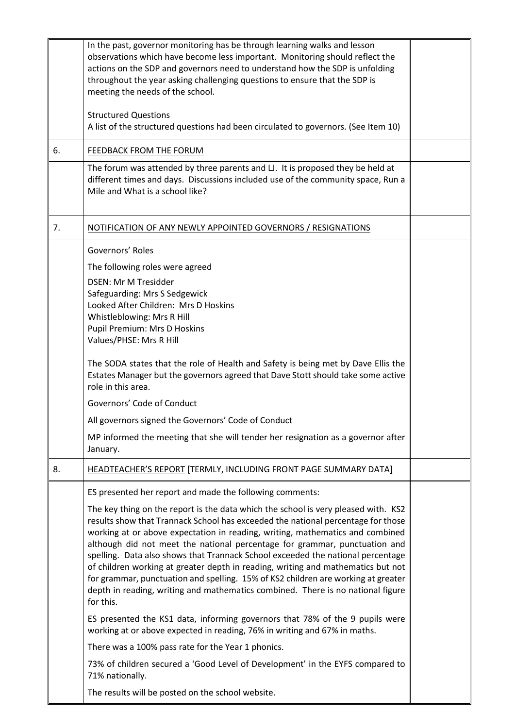|    | In the past, governor monitoring has be through learning walks and lesson<br>observations which have become less important. Monitoring should reflect the<br>actions on the SDP and governors need to understand how the SDP is unfolding<br>throughout the year asking challenging questions to ensure that the SDP is<br>meeting the needs of the school.                                                                                                                                                                                                                                                                                                                                       |  |
|----|---------------------------------------------------------------------------------------------------------------------------------------------------------------------------------------------------------------------------------------------------------------------------------------------------------------------------------------------------------------------------------------------------------------------------------------------------------------------------------------------------------------------------------------------------------------------------------------------------------------------------------------------------------------------------------------------------|--|
|    | <b>Structured Questions</b><br>A list of the structured questions had been circulated to governors. (See Item 10)                                                                                                                                                                                                                                                                                                                                                                                                                                                                                                                                                                                 |  |
| 6. | FEEDBACK FROM THE FORUM                                                                                                                                                                                                                                                                                                                                                                                                                                                                                                                                                                                                                                                                           |  |
|    | The forum was attended by three parents and LJ. It is proposed they be held at<br>different times and days. Discussions included use of the community space, Run a<br>Mile and What is a school like?                                                                                                                                                                                                                                                                                                                                                                                                                                                                                             |  |
| 7. | NOTIFICATION OF ANY NEWLY APPOINTED GOVERNORS / RESIGNATIONS                                                                                                                                                                                                                                                                                                                                                                                                                                                                                                                                                                                                                                      |  |
|    | Governors' Roles                                                                                                                                                                                                                                                                                                                                                                                                                                                                                                                                                                                                                                                                                  |  |
|    | The following roles were agreed                                                                                                                                                                                                                                                                                                                                                                                                                                                                                                                                                                                                                                                                   |  |
|    | <b>DSEN: Mr M Tresidder</b>                                                                                                                                                                                                                                                                                                                                                                                                                                                                                                                                                                                                                                                                       |  |
|    | Safeguarding: Mrs S Sedgewick<br>Looked After Children: Mrs D Hoskins                                                                                                                                                                                                                                                                                                                                                                                                                                                                                                                                                                                                                             |  |
|    | Whistleblowing: Mrs R Hill                                                                                                                                                                                                                                                                                                                                                                                                                                                                                                                                                                                                                                                                        |  |
|    | Pupil Premium: Mrs D Hoskins<br>Values/PHSE: Mrs R Hill                                                                                                                                                                                                                                                                                                                                                                                                                                                                                                                                                                                                                                           |  |
|    | The SODA states that the role of Health and Safety is being met by Dave Ellis the<br>Estates Manager but the governors agreed that Dave Stott should take some active<br>role in this area.                                                                                                                                                                                                                                                                                                                                                                                                                                                                                                       |  |
|    | Governors' Code of Conduct                                                                                                                                                                                                                                                                                                                                                                                                                                                                                                                                                                                                                                                                        |  |
|    | All governors signed the Governors' Code of Conduct                                                                                                                                                                                                                                                                                                                                                                                                                                                                                                                                                                                                                                               |  |
|    | MP informed the meeting that she will tender her resignation as a governor after<br>January.                                                                                                                                                                                                                                                                                                                                                                                                                                                                                                                                                                                                      |  |
| 8. | HEADTEACHER'S REPORT [TERMLY, INCLUDING FRONT PAGE SUMMARY DATA]                                                                                                                                                                                                                                                                                                                                                                                                                                                                                                                                                                                                                                  |  |
|    | ES presented her report and made the following comments:                                                                                                                                                                                                                                                                                                                                                                                                                                                                                                                                                                                                                                          |  |
|    | The key thing on the report is the data which the school is very pleased with. KS2<br>results show that Trannack School has exceeded the national percentage for those<br>working at or above expectation in reading, writing, mathematics and combined<br>although did not meet the national percentage for grammar, punctuation and<br>spelling. Data also shows that Trannack School exceeded the national percentage<br>of children working at greater depth in reading, writing and mathematics but not<br>for grammar, punctuation and spelling. 15% of KS2 children are working at greater<br>depth in reading, writing and mathematics combined. There is no national figure<br>for this. |  |
|    | ES presented the KS1 data, informing governors that 78% of the 9 pupils were<br>working at or above expected in reading, 76% in writing and 67% in maths.                                                                                                                                                                                                                                                                                                                                                                                                                                                                                                                                         |  |
|    | There was a 100% pass rate for the Year 1 phonics.                                                                                                                                                                                                                                                                                                                                                                                                                                                                                                                                                                                                                                                |  |
|    | 73% of children secured a 'Good Level of Development' in the EYFS compared to<br>71% nationally.                                                                                                                                                                                                                                                                                                                                                                                                                                                                                                                                                                                                  |  |
|    | The results will be posted on the school website.                                                                                                                                                                                                                                                                                                                                                                                                                                                                                                                                                                                                                                                 |  |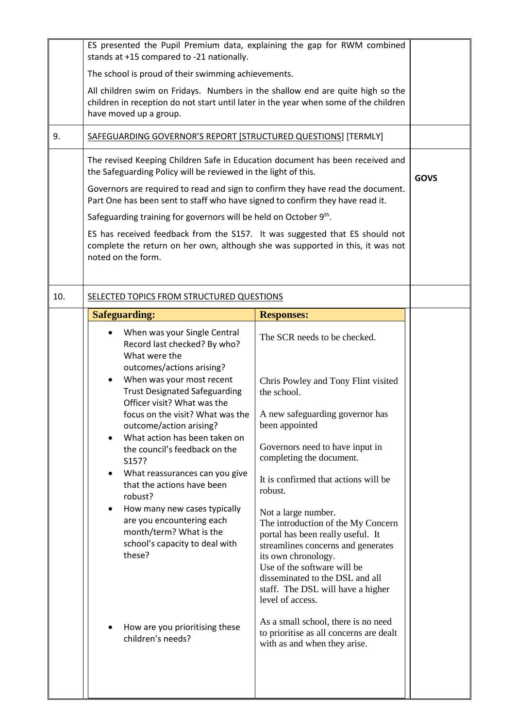| 9.  | ES presented the Pupil Premium data, explaining the gap for RWM combined<br>stands at +15 compared to -21 nationally.<br>The school is proud of their swimming achievements.<br>All children swim on Fridays. Numbers in the shallow end are quite high so the<br>children in reception do not start until later in the year when some of the children<br>have moved up a group.                                                                                                                                                                                                                                                                                    |                                                                                                                                                                                                                                                                                                                                                                                                                                                                                                                                                                                                                                                                                            |  |
|-----|---------------------------------------------------------------------------------------------------------------------------------------------------------------------------------------------------------------------------------------------------------------------------------------------------------------------------------------------------------------------------------------------------------------------------------------------------------------------------------------------------------------------------------------------------------------------------------------------------------------------------------------------------------------------|--------------------------------------------------------------------------------------------------------------------------------------------------------------------------------------------------------------------------------------------------------------------------------------------------------------------------------------------------------------------------------------------------------------------------------------------------------------------------------------------------------------------------------------------------------------------------------------------------------------------------------------------------------------------------------------------|--|
|     | SAFEGUARDING GOVERNOR'S REPORT [STRUCTURED QUESTIONS] [TERMLY]<br>The revised Keeping Children Safe in Education document has been received and<br>the Safeguarding Policy will be reviewed in the light of this.<br>Governors are required to read and sign to confirm they have read the document.<br>Part One has been sent to staff who have signed to confirm they have read it.<br>Safeguarding training for governors will be held on October 9th.<br>ES has received feedback from the S157. It was suggested that ES should not<br>complete the return on her own, although she was supported in this, it was not<br>noted on the form.                    |                                                                                                                                                                                                                                                                                                                                                                                                                                                                                                                                                                                                                                                                                            |  |
| 10. | SELECTED TOPICS FROM STRUCTURED QUESTIONS                                                                                                                                                                                                                                                                                                                                                                                                                                                                                                                                                                                                                           |                                                                                                                                                                                                                                                                                                                                                                                                                                                                                                                                                                                                                                                                                            |  |
|     | <b>Safeguarding:</b><br>When was your Single Central<br>Record last checked? By who?<br>What were the<br>outcomes/actions arising?<br>When was your most recent<br>$\bullet$<br><b>Trust Designated Safeguarding</b><br>Officer visit? What was the<br>focus on the visit? What was the<br>outcome/action arising?<br>What action has been taken on<br>the council's feedback on the<br>S157?<br>What reassurances can you give<br>that the actions have been<br>robust?<br>How many new cases typically<br>are you encountering each<br>month/term? What is the<br>school's capacity to deal with<br>these?<br>How are you prioritising these<br>children's needs? | <b>Responses:</b><br>The SCR needs to be checked.<br>Chris Powley and Tony Flint visited<br>the school.<br>A new safeguarding governor has<br>been appointed<br>Governors need to have input in<br>completing the document.<br>It is confirmed that actions will be<br>robust.<br>Not a large number.<br>The introduction of the My Concern<br>portal has been really useful. It<br>streamlines concerns and generates<br>its own chronology.<br>Use of the software will be<br>disseminated to the DSL and all<br>staff. The DSL will have a higher<br>level of access.<br>As a small school, there is no need<br>to prioritise as all concerns are dealt<br>with as and when they arise. |  |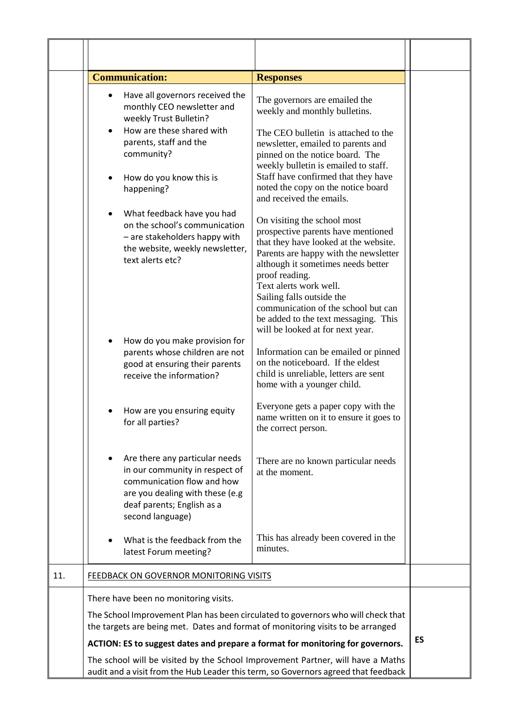|     | <b>Communication:</b>                                                                                                                                                                    | <b>Responses</b>                                                                                                                                                                                                                                                                                                                                                                      |    |
|-----|------------------------------------------------------------------------------------------------------------------------------------------------------------------------------------------|---------------------------------------------------------------------------------------------------------------------------------------------------------------------------------------------------------------------------------------------------------------------------------------------------------------------------------------------------------------------------------------|----|
|     | Have all governors received the<br>monthly CEO newsletter and<br>weekly Trust Bulletin?                                                                                                  | The governors are emailed the<br>weekly and monthly bulletins.                                                                                                                                                                                                                                                                                                                        |    |
|     | How are these shared with<br>$\bullet$<br>parents, staff and the<br>community?<br>How do you know this is                                                                                | The CEO bulletin is attached to the<br>newsletter, emailed to parents and<br>pinned on the notice board. The<br>weekly bulletin is emailed to staff.<br>Staff have confirmed that they have                                                                                                                                                                                           |    |
|     | happening?                                                                                                                                                                               | noted the copy on the notice board<br>and received the emails.                                                                                                                                                                                                                                                                                                                        |    |
|     | What feedback have you had<br>on the school's communication<br>- are stakeholders happy with<br>the website, weekly newsletter,<br>text alerts etc?                                      | On visiting the school most<br>prospective parents have mentioned<br>that they have looked at the website.<br>Parents are happy with the newsletter<br>although it sometimes needs better<br>proof reading.<br>Text alerts work well.<br>Sailing falls outside the<br>communication of the school but can<br>be added to the text messaging. This<br>will be looked at for next year. |    |
|     | How do you make provision for<br>٠<br>parents whose children are not<br>good at ensuring their parents<br>receive the information?                                                       | Information can be emailed or pinned<br>on the noticeboard. If the eldest<br>child is unreliable, letters are sent<br>home with a younger child.                                                                                                                                                                                                                                      |    |
|     | How are you ensuring equity<br>for all parties?                                                                                                                                          | Everyone gets a paper copy with the<br>name written on it to ensure it goes to<br>the correct person.                                                                                                                                                                                                                                                                                 |    |
|     | Are there any particular needs<br>٠<br>in our community in respect of<br>communication flow and how<br>are you dealing with these (e.g<br>deaf parents; English as a<br>second language) | There are no known particular needs<br>at the moment.                                                                                                                                                                                                                                                                                                                                 |    |
|     | What is the feedback from the<br>latest Forum meeting?                                                                                                                                   | This has already been covered in the<br>minutes.                                                                                                                                                                                                                                                                                                                                      |    |
| 11. | <b>FEEDBACK ON GOVERNOR MONITORING VISITS</b>                                                                                                                                            |                                                                                                                                                                                                                                                                                                                                                                                       |    |
|     | There have been no monitoring visits.                                                                                                                                                    |                                                                                                                                                                                                                                                                                                                                                                                       |    |
|     | The School Improvement Plan has been circulated to governors who will check that<br>the targets are being met. Dates and format of monitoring visits to be arranged                      |                                                                                                                                                                                                                                                                                                                                                                                       |    |
|     | ACTION: ES to suggest dates and prepare a format for monitoring for governors.                                                                                                           |                                                                                                                                                                                                                                                                                                                                                                                       | ES |
|     | The school will be visited by the School Improvement Partner, will have a Maths<br>audit and a visit from the Hub Leader this term, so Governors agreed that feedback                    |                                                                                                                                                                                                                                                                                                                                                                                       |    |